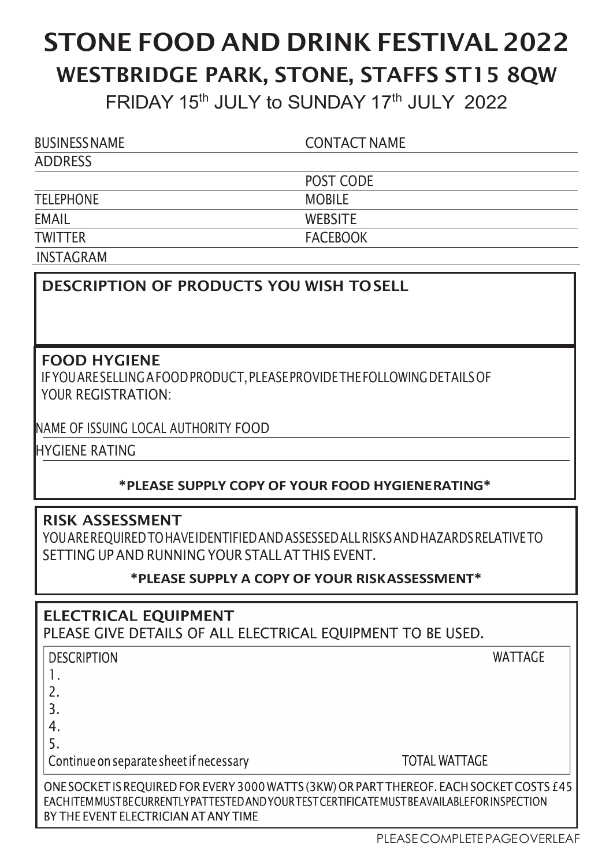# STONE FOOD AND DRINK FESTIVAL 2022 WESTBRIDGE PARK, STONE, STAFFS ST15 8QW FRIDAY 15<sup>th</sup> JULY to SUNDAY 17<sup>th</sup> JULY 2022

| <b>BUSINESS NAME</b> | <b>CONTACT NAME</b> |  |
|----------------------|---------------------|--|
| ADDRESS              |                     |  |
|                      | POST CODE           |  |
| <b>TELEPHONE</b>     | <b>MOBILE</b>       |  |
| <b>EMAIL</b>         | <b>WEBSITE</b>      |  |
| <b>TWITTER</b>       | <b>FACEBOOK</b>     |  |
| <b>INSTAGRAM</b>     |                     |  |

## DESCRIPTION OF PRODUCTS YOU WISH TO SELL

#### FOOD HYGIENE

IF YOU ARE SELLING A FOOD PRODUCT, PLEASE PROVIDE THE FOLLOWING DETAILS OF YOUR REGISTRATION:

NAME OF ISSUING LOCAL AUTHORITY FOOD

HYGIENE RATING

### \*PLEASE SUPPLY COPY OF YOUR FOOD HYGIENE RATING\*

### RISK ASSESSMENT

YOU ARE REQUIRED TO HAVE IDENTIFIED AND ASSESSED ALL RISKS AND HAZARDS RELATIVE TO SETTING UP AND RUNNING YOUR STALL AT THIS EVENT.

### \*PLEASE SUPPLY A COPY OF YOUR RISK ASSESSMENT\*

**ELECTRICAL EQUIPMENT** PLEASE GIVE DETAILS OF ALL ELECTRICAL EOUIPMENT TO BE USED.

| <b>DESCRIPTION</b>                                                                               | <b>WATTAGE</b>       |
|--------------------------------------------------------------------------------------------------|----------------------|
|                                                                                                  |                      |
|                                                                                                  |                      |
|                                                                                                  |                      |
|                                                                                                  |                      |
|                                                                                                  |                      |
| Continue on separate sheet if necessary                                                          | <b>TOTAL WATTAGE</b> |
| ONE SOCKET IS REQUIRED FOR EVERY 3000 WATTS (3KW) OR PART THEREOF. EACH SOCKET COSTS £4          |                      |
| EACH ITEM MUST BE CURRENTLY PATTESTED AND YOUR TEST CERTIFICATE MUST BE AVAILABLE FOR INSPECTION |                      |
| BY THE EVENT ELECTRICIAN AT ANY TIME                                                             |                      |

5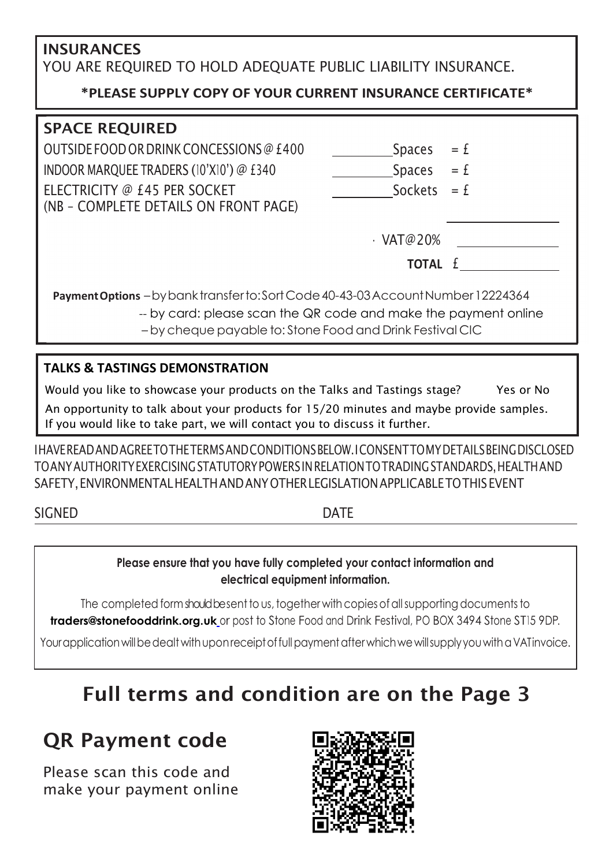## INSURANCES YOU ARE REQUIRED TO HOLD ADEQUATE PUBLIC LIABILITY INSURANCE.

## \*PLEASE SUPPLY COPY OF YOUR CURRENT INSURANCE CERTIFICATE\*

| <b>SPACE REQUIRED</b>                                                                                                                                                                                             |       |
|-------------------------------------------------------------------------------------------------------------------------------------------------------------------------------------------------------------------|-------|
| OUTSIDE FOOD OR DRINK CONCESSIONS @ £400<br><b>Spaces</b>                                                                                                                                                         | $= f$ |
| INDOOR MARQUEE TRADERS (10'X10') @ £340<br><b>Spaces</b>                                                                                                                                                          | $= f$ |
| ELECTRICITY @ £45 PER SOCKET<br>Sockets<br>(NB - COMPLETE DETAILS ON FRONT PAGE)                                                                                                                                  | $= f$ |
| $\cdot$ VAT@20%                                                                                                                                                                                                   |       |
| <b>TOTAL</b> <i>f</i>                                                                                                                                                                                             |       |
| Payment Options - by bank transfer to: Sort Code 40-43-03 Account Number 12224364<br>-- by card: please scan the QR code and make the payment online<br>- by cheque payable to: Stone Food and Drink Festival CIC |       |

### TALKS & TASTINGS DEMONSTRATION

Would you like to showcase your products on the Talks and Tastings stage? Yes or No

 An opportunity to talk about your products for 15/20 minutes and maybe provide samples. If you would like to take part, we will contact you to discuss it further.

I HAVE READ AND AGREE TO THE TERMS AND CONDITIONS BELOW. I CONSENT TO MY DETAILS BEING DISCLOSED TO ANY AUTHORITY EXERCISING STATUTORY POWERS IN RELATION TO TRADING STANDARDS, HEALTH AND SAFETY, ENVIRONMENTAL HEALTH AND ANY OTHER LEGISLATION APPLICABLE TO THIS EVENT

## SIGNED DATE

#### Please ensure that you have fully completed your contact information and electrical equipment information.

The completed form should be sent to us, together with copies of all supporting documents to traders@stonefooddrink.org.uk or post to Stone Food and Drink Festival, PO BOX 3494 Stone ST15 9DP.

Your application will be dealt with upon receipt of full payment after which we will supply you with a VAT invoice.

# Full terms and condition are on the Page 3

## QR Payment code

Please scan this code and make your payment online